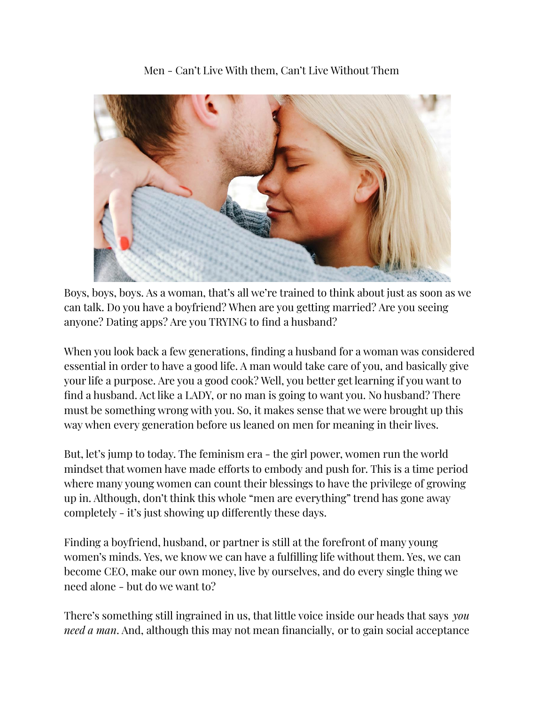

Men - Can't Live With them, Can't Live Without Them

Boys, boys, boys. As a woman, that's all we're trained to think about just as soon as we can talk. Do you have a boyfriend? When are you getting married? Are you seeing anyone? Dating apps? Are you TRYING to find a husband?

When you look back a few generations, finding a husband for a woman was considered essential in order to have a good life. A man would take care of you, and basically give your life a purpose. Are you a good cook? Well, you better get learning if you want to find a husband. Act like a LADY, or no man is going to want you. No husband? There must be something wrong with you. So, it makes sense that we were brought up this way when every generation before us leaned on men for meaning in their lives.

But, let's jump to today. The feminism era - the girl power, women run the world mindset that women have made efforts to embody and push for. This is a time period where many young women can count their blessings to have the privilege of growing up in. Although, don't think this whole "men are everything" trend has gone away completely - it's just showing up differently these days.

Finding a boyfriend, husband, or partner is still at the forefront of many young women's minds. Yes, we know we can have a fulfilling life without them. Yes, we can become CEO, make our own money, live by ourselves, and do every single thing we need alone - but do we want to?

There's something still ingrained in us, that little voice inside our heads that says *you need a man*. And, although this may not mean financially, or to gain social acceptance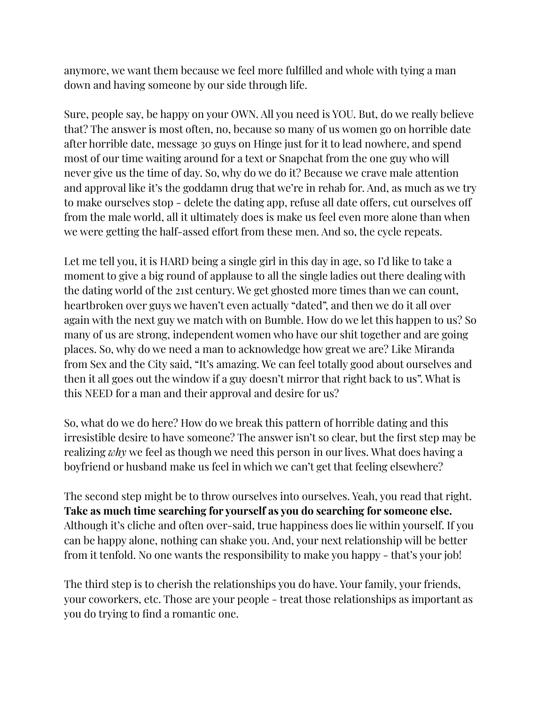anymore, we want them because we feel more fulfilled and whole with tying a man down and having someone by our side through life.

Sure, people say, be happy on your OWN. All you need is YOU. But, do we really believe that? The answer is most often, no, because so many of us women go on horrible date after horrible date, message 30 guys on Hinge just for it to lead nowhere, and spend most of our time waiting around for a text or Snapchat from the one guy who will never give us the time of day. So, why do we do it? Because we crave male attention and approval like it's the goddamn drug that we're in rehab for. And, as much as we try to make ourselves stop - delete the dating app, refuse all date offers, cut ourselves off from the male world, all it ultimately does is make us feel even more alone than when we were getting the half-assed effort from these men. And so, the cycle repeats.

Let me tell you, it is HARD being a single girl in this day in age, so I'd like to take a moment to give a big round of applause to all the single ladies out there dealing with the dating world of the 21st century. We get ghosted more times than we can count, heartbroken over guys we haven't even actually "dated", and then we do it all over again with the next guy we match with on Bumble. How do we let this happen to us? So many of us are strong, independent women who have our shit together and are going places. So, why do we need a man to acknowledge how great we are? Like Miranda from Sex and the City said, "It's amazing. We can feel totally good about ourselves and then it all goes out the window if a guy doesn't mirror that right back to us". What is this NEED for a man and their approval and desire for us?

So, what do we do here? How do we break this pattern of horrible dating and this irresistible desire to have someone? The answer isn't so clear, but the first step may be realizing *why* we feel as though we need this person in our lives. What does having a boyfriend or husband make us feel in which we can't get that feeling elsewhere?

The second step might be to throw ourselves into ourselves. Yeah, you read that right. **Take as much time searching for yourself as you do searching for someone else.** Although it's cliche and often over-said, true happiness does lie within yourself. If you can be happy alone, nothing can shake you. And, your next relationship will be better from it tenfold. No one wants the responsibility to make you happy - that's your job!

The third step is to cherish the relationships you do have. Your family, your friends, your coworkers, etc. Those are your people - treat those relationships as important as you do trying to find a romantic one.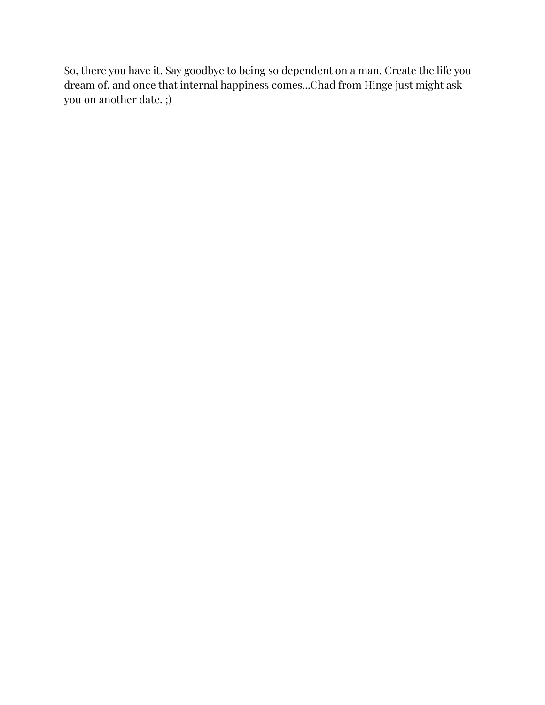So, there you have it. Say goodbye to being so dependent on a man. Create the life you dream of, and once that internal happiness comes...Chad from Hinge just might ask you on another date. ;)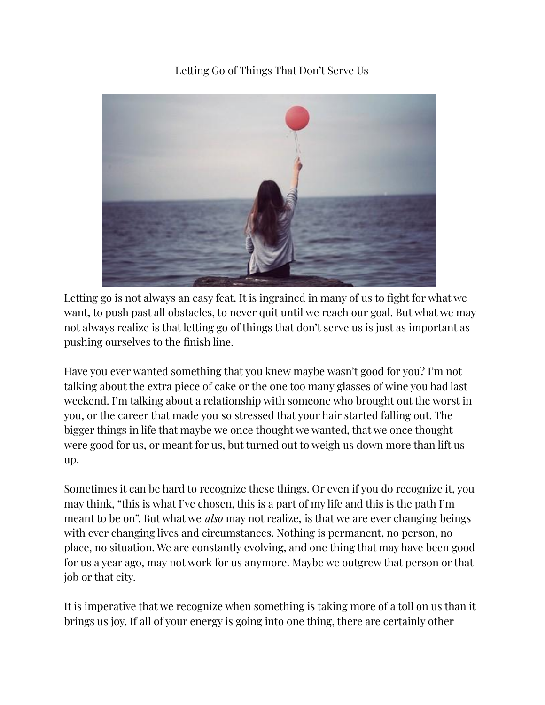# Letting Go of Things That Don't Serve Us



Letting go is not always an easy feat. It is ingrained in many of us to fight for what we want, to push past all obstacles, to never quit until we reach our goal. But what we may not always realize is that letting go of things that don't serve us is just as important as pushing ourselves to the finish line.

Have you ever wanted something that you knew maybe wasn't good for you? I'm not talking about the extra piece of cake or the one too many glasses of wine you had last weekend. I'm talking about a relationship with someone who brought out the worst in you, or the career that made you so stressed that your hair started falling out. The bigger things in life that maybe we once thought we wanted, that we once thought were good for us, or meant for us, but turned out to weigh us down more than lift us up.

Sometimes it can be hard to recognize these things. Or even if you do recognize it, you may think, "this is what I've chosen, this is a part of my life and this is the path I'm meant to be on". But what we *also* may not realize, is that we are ever changing beings with ever changing lives and circumstances. Nothing is permanent, no person, no place, no situation. We are constantly evolving, and one thing that may have been good for us a year ago, may not work for us anymore. Maybe we outgrew that person or that job or that city.

It is imperative that we recognize when something is taking more of a toll on us than it brings us joy. If all of your energy is going into one thing, there are certainly other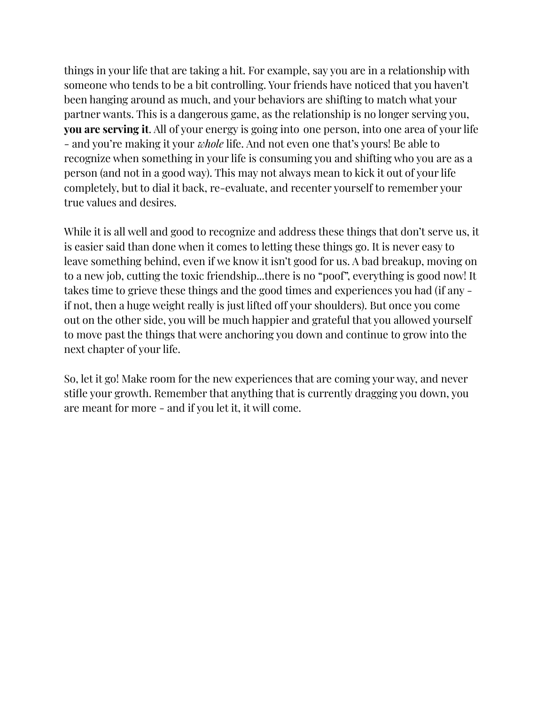things in your life that are taking a hit. For example, say you are in a relationship with someone who tends to be a bit controlling. Your friends have noticed that you haven't been hanging around as much, and your behaviors are shifting to match what your partner wants. This is a dangerous game, as the relationship is no longer serving you, **you are serving it**. All of your energy is going into one person, into one area of your life - and you're making it your *whole* life. And not even one that's yours! Be able to recognize when something in your life is consuming you and shifting who you are as a person (and not in a good way). This may not always mean to kick it out of your life completely, but to dial it back, re-evaluate, and recenter yourself to remember your true values and desires.

While it is all well and good to recognize and address these things that don't serve us, it is easier said than done when it comes to letting these things go. It is never easy to leave something behind, even if we know it isn't good for us. A bad breakup, moving on to a new job, cutting the toxic friendship...there is no "poof", everything is good now! It takes time to grieve these things and the good times and experiences you had (if any if not, then a huge weight really is just lifted off your shoulders). But once you come out on the other side, you will be much happier and grateful that you allowed yourself to move past the things that were anchoring you down and continue to grow into the next chapter of your life.

So, let it go! Make room for the new experiences that are coming your way, and never stifle your growth. Remember that anything that is currently dragging you down, you are meant for more - and if you let it, it will come.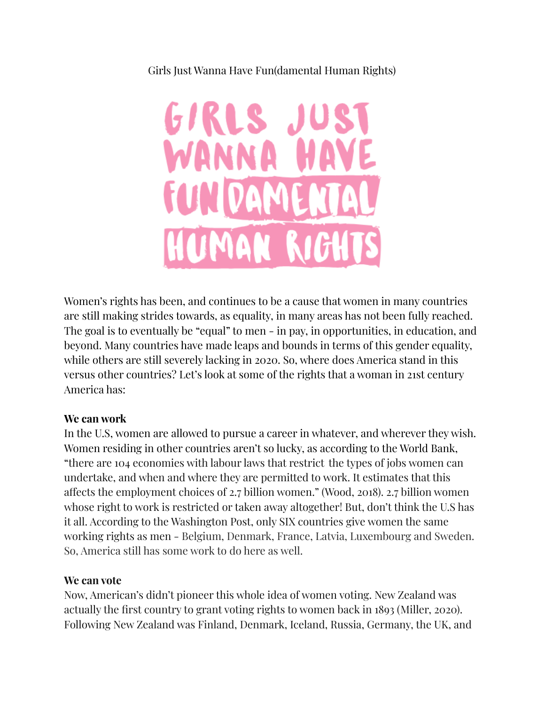### Girls Just Wanna Have Fun(damental Human Rights)



Women's rights has been, and continues to be a cause that women in many countries are still making strides towards, as equality, in many areas has not been fully reached. The goal is to eventually be "equal" to men - in pay, in opportunities, in education, and beyond. Many countries have made leaps and bounds in terms of this gender equality, while others are still severely lacking in 2020. So, where does America stand in this versus other countries? Let's look at some of the rights that a woman in 21st century America has:

#### **We can work**

In the U.S, women are allowed to pursue a career in whatever, and wherever they wish. Women residing in other countries aren't so lucky, as according to the World Bank, "there are 104 economies with labour laws that restrict the types of jobs women can undertake, and when and where they are permitted to work. It estimates that this affects the employment choices of 2.7 billion women." (Wood, 2018). 2.7 billion women whose right to work is restricted or taken away altogether! But, don't think the U.S has it all. According to the Washington Post, only SIX countries give women the same working rights as men - Belgium, Denmark, France, Latvia, Luxembourg and Sweden. So, America still has some work to do here as well.

#### **We can vote**

Now, American's didn't pioneer this whole idea of women voting. New Zealand was actually the first country to grant voting rights to women back in 1893 (Miller, 2020). Following New Zealand was Finland, Denmark, Iceland, Russia, Germany, the UK, and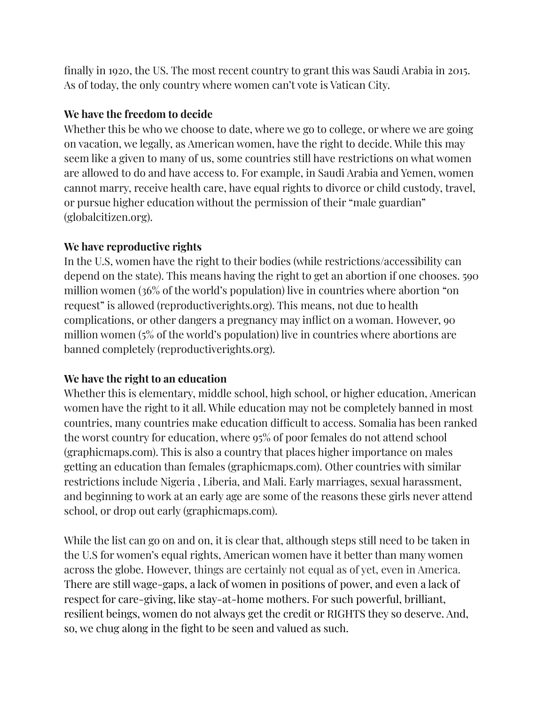finally in 1920, the US. The most recent country to grant this was Saudi Arabia in 2015. As of today, the only country where women can't vote is Vatican City.

# **We have the freedom to decide**

Whether this be who we choose to date, where we go to college, or where we are going on vacation, we legally, as American women, have the right to decide. While this may seem like a given to many of us, some countries still have restrictions on what women are allowed to do and have access to. For example, in Saudi Arabia and Yemen, women cannot marry, receive health care, have equal rights to divorce or child custody, travel, or pursue higher education without the permission of their "male guardian" (globalcitizen.org).

# **We have reproductive rights**

In the U.S, women have the right to their bodies (while restrictions/accessibility can depend on the state). This means having the right to get an abortion if one chooses. 590 million women (36% of the world's population) live in countries where abortion "on request" is allowed (reproductiverights.org). This means, not due to health complications, or other dangers a pregnancy may inflict on a woman. However, 90 million women (5% of the world's population) live in countries where abortions are banned completely (reproductiverights.org).

# **We have the right to an education**

Whether this is elementary, middle school, high school, or higher education, American women have the right to it all. While education may not be completely banned in most countries, many countries make education difficult to access. Somalia has been ranked the worst country for education, where 95% of poor females do not attend school (graphicmaps.com). This is also a country that places higher importance on males getting an education than females (graphicmaps.com). Other countries with similar restrictions include Nigeria , Liberia, and Mali. Early marriages, sexual harassment, and beginning to work at an early age are some of the reasons these girls never attend school, or drop out early (graphicmaps.com).

While the list can go on and on, it is clear that, although steps still need to be taken in the U.S for women's equal rights, American women have it better than many women across the globe. However, things are certainly not equal as of yet, even in America. There are still wage-gaps, a lack of women in positions of power, and even a lack of respect for care-giving, like stay-at-home mothers. For such powerful, brilliant, resilient beings, women do not always get the credit or RIGHTS they so deserve. And, so, we chug along in the fight to be seen and valued as such.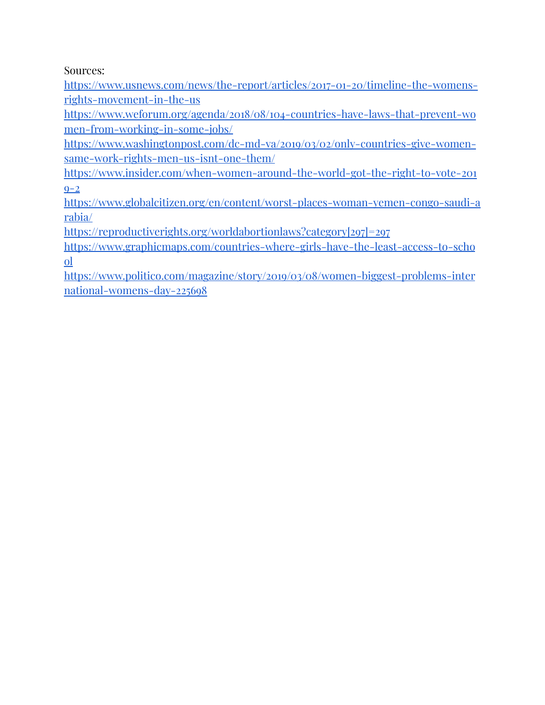Sources:

[https://www.usnews.com/news/the-report/articles/2017-01-20/timeline-the-womens](https://www.usnews.com/news/the-report/articles/2017-01-20/timeline-the-womens-rights-movement-in-the-us)[rights-movement-in-the-us](https://www.usnews.com/news/the-report/articles/2017-01-20/timeline-the-womens-rights-movement-in-the-us)

[https://www.weforum.org/agenda/2018/08/104-countries-have-laws-that-prevent-wo](https://www.weforum.org/agenda/2018/08/104-countries-have-laws-that-prevent-women-from-working-in-some-jobs/) [men-from-working-in-some-jobs/](https://www.weforum.org/agenda/2018/08/104-countries-have-laws-that-prevent-women-from-working-in-some-jobs/)

[https://www.washingtonpost.com/dc-md-va/2019/03/02/only-countries-give-women](https://www.washingtonpost.com/dc-md-va/2019/03/02/only-countries-give-women-same-work-rights-men-us-isnt-one-them/)[same-work-rights-men-us-isnt-one-them/](https://www.washingtonpost.com/dc-md-va/2019/03/02/only-countries-give-women-same-work-rights-men-us-isnt-one-them/)

[https://www.insider.com/when-women-around-the-world-got-the-right-to-vote-201](https://www.insider.com/when-women-around-the-world-got-the-right-to-vote-2019-2)  $Q-2$ 

[https://www.globalcitizen.org/en/content/worst-places-woman-yemen-congo-saudi-a](https://www.globalcitizen.org/en/content/worst-places-woman-yemen-congo-saudi-arabia/) [rabia/](https://www.globalcitizen.org/en/content/worst-places-woman-yemen-congo-saudi-arabia/)

[https://reproductiverights.org/worldabortionlaws?category\[297\]=297](https://reproductiverights.org/worldabortionlaws?category[297]=297)

[https://www.graphicmaps.com/countries-where-girls-have-the-least-access-to-scho](https://www.graphicmaps.com/countries-where-girls-have-the-least-access-to-school) [ol](https://www.graphicmaps.com/countries-where-girls-have-the-least-access-to-school)

[https://www.politico.com/magazine/story/2019/03/08/women-biggest-problems-inter](https://www.politico.com/magazine/story/2019/03/08/women-biggest-problems-international-womens-day-225698) [national-womens-day-225698](https://www.politico.com/magazine/story/2019/03/08/women-biggest-problems-international-womens-day-225698)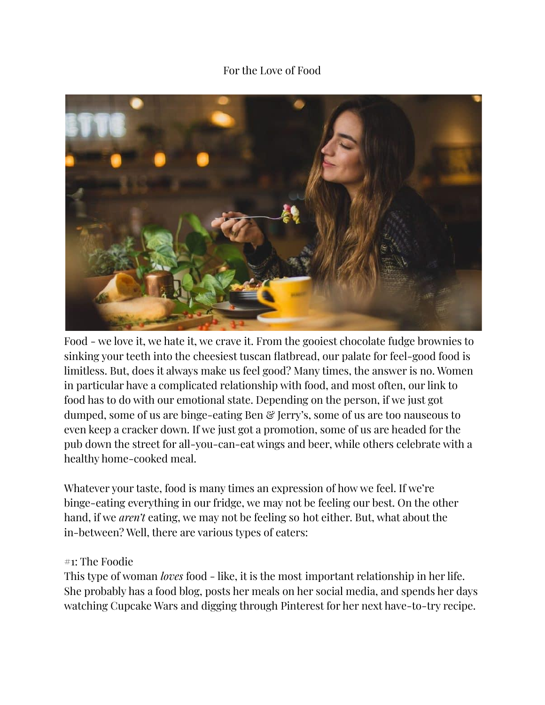### For the Love of Food



Food - we love it, we hate it, we crave it. From the gooiest chocolate fudge brownies to sinking your teeth into the cheesiest tuscan flatbread, our palate for feel-good food is limitless. But, does it always make us feel good? Many times, the answer is no. Women in particular have a complicated relationship with food, and most often, our link to food has to do with our emotional state. Depending on the person, if we just got dumped, some of us are binge-eating Ben & Jerry's, some of us are too nauseous to even keep a cracker down. If we just got a promotion, some of us are headed for the pub down the street for all-you-can-eat wings and beer, while others celebrate with a healthy home-cooked meal.

Whatever your taste, food is many times an expression of how we feel. If we're binge-eating everything in our fridge, we may not be feeling our best. On the other hand, if we *aren't* eating, we may not be feeling so hot either. But, what about the in-between? Well, there are various types of eaters:

#### #1: The Foodie

This type of woman *loves* food - like, it is the most important relationship in her life. She probably has a food blog, posts her meals on her social media, and spends her days watching Cupcake Wars and digging through Pinterest for her next have-to-try recipe.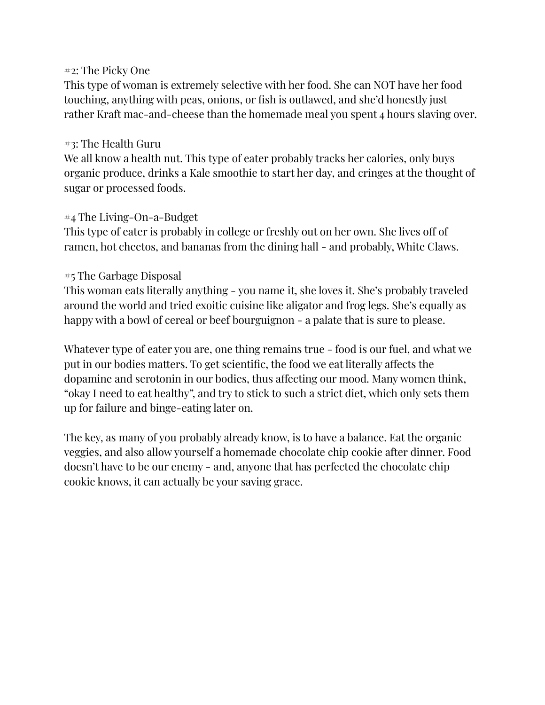#### #2: The Picky One

This type of woman is extremely selective with her food. She can NOT have her food touching, anything with peas, onions, or fish is outlawed, and she'd honestly just rather Kraft mac-and-cheese than the homemade meal you spent 4 hours slaving over.

#### #3: The Health Guru

We all know a health nut. This type of eater probably tracks her calories, only buys organic produce, drinks a Kale smoothie to start her day, and cringes at the thought of sugar or processed foods.

#### #4 The Living-On-a-Budget

This type of eater is probably in college or freshly out on her own. She lives off of ramen, hot cheetos, and bananas from the dining hall - and probably, White Claws.

## #5 The Garbage Disposal

This woman eats literally anything - you name it, she loves it. She's probably traveled around the world and tried exoitic cuisine like aligator and frog legs. She's equally as happy with a bowl of cereal or beef bourguignon - a palate that is sure to please.

Whatever type of eater you are, one thing remains true - food is our fuel, and what we put in our bodies matters. To get scientific, the food we eat literally affects the dopamine and serotonin in our bodies, thus affecting our mood. Many women think, "okay I need to eat healthy", and try to stick to such a strict diet, which only sets them up for failure and binge-eating later on.

The key, as many of you probably already know, is to have a balance. Eat the organic veggies, and also allow yourself a homemade chocolate chip cookie after dinner. Food doesn't have to be our enemy - and, anyone that has perfected the chocolate chip cookie knows, it can actually be your saving grace.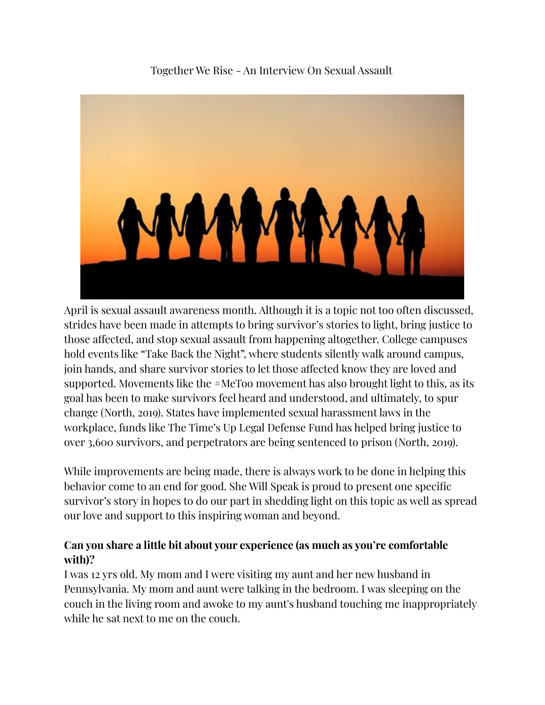Together We Rise - An Interview On Sexual Assault



April is sexual assault awareness month. Although it is a topic not too often discussed, strides have been made in attempts to bring survivor's stories to light, bring justice to those affected, and stop sexual assault from happening altogether. College campuses hold events like "Take Back the Night", where students silently walk around campus, join hands, and share survivor stories to let those affected know they are loved and supported. Movements like the #MeToo movement has also brought light to this, as its goal has been to make survivors feel heard and understood, and ultimately, to spur change (North, 2o19). States have implemented sexual harassment laws in the workplace, funds like The Time's Up Legal Defense Fund has helped bring justice to over 3,600 survivors, and perpetrators are being sentenced to prison (North, 2019).

While improvements are being made, there is always work to be done in helping this behavior come to an end for good. She Will Speak is proud to present one specific survivor's story in hopes to do our part in shedding light on this topic as well as spread our love and support to this inspiring woman and beyond.

# **Can you share a little bit about your experience (as much as you're comfortable with)?**

I was 12 yrs old. My mom and I were visiting my aunt and her new husband in Pennsylvania. My mom and aunt were talking in the bedroom. I was sleeping on the couch in the living room and awoke to my aunt's husband touching me inappropriately while he sat next to me on the couch.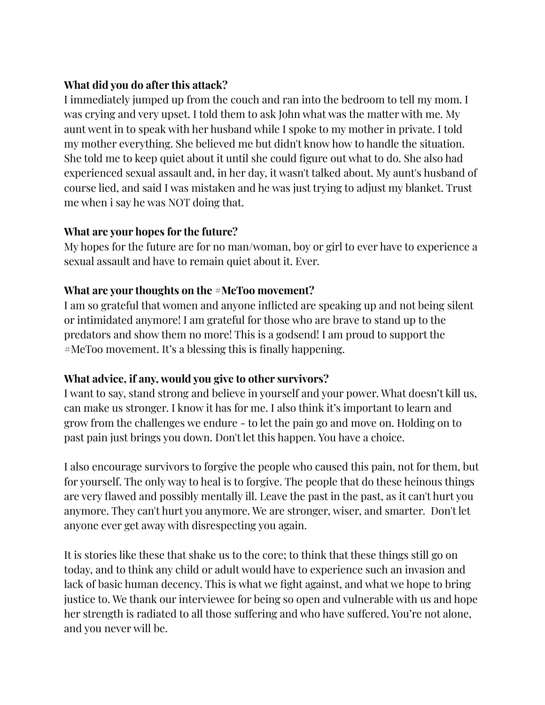## **What did you do after this attack?**

I immediately jumped up from the couch and ran into the bedroom to tell my mom. I was crying and very upset. I told them to ask John what was the matter with me. My aunt went in to speak with her husband while I spoke to my mother in private. I told my mother everything. She believed me but didn't know how to handle the situation. She told me to keep quiet about it until she could figure out what to do. She also had experienced sexual assault and, in her day, it wasn't talked about. My aunt's husband of course lied, and said I was mistaken and he was just trying to adjust my blanket. Trust me when i say he was NOT doing that.

## **What are your hopes for the future?**

My hopes for the future are for no man/woman, boy or girl to ever have to experience a sexual assault and have to remain quiet about it. Ever.

# **What are your thoughts on the #MeToo movement?**

I am so grateful that women and anyone inflicted are speaking up and not being silent or intimidated anymore! I am grateful for those who are brave to stand up to the predators and show them no more! This is a godsend! I am proud to support the #MeToo movement. It's a blessing this is finally happening.

# **What advice, if any, would you give to other survivors?**

I want to say, stand strong and believe in yourself and your power. What doesn't kill us, can make us stronger. I know it has for me. I also think it's important to learn and grow from the challenges we endure - to let the pain go and move on. Holding on to past pain just brings you down. Don't let this happen. You have a choice.

I also encourage survivors to forgive the people who caused this pain, not for them, but for yourself. The only way to heal is to forgive. The people that do these heinous things are very flawed and possibly mentally ill. Leave the past in the past, as it can't hurt you anymore. They can't hurt you anymore. We are stronger, wiser, and smarter. Don't let anyone ever get away with disrespecting you again.

It is stories like these that shake us to the core; to think that these things still go on today, and to think any child or adult would have to experience such an invasion and lack of basic human decency. This is what we fight against, and what we hope to bring justice to. We thank our interviewee for being so open and vulnerable with us and hope her strength is radiated to all those suffering and who have suffered. You're not alone, and you never will be.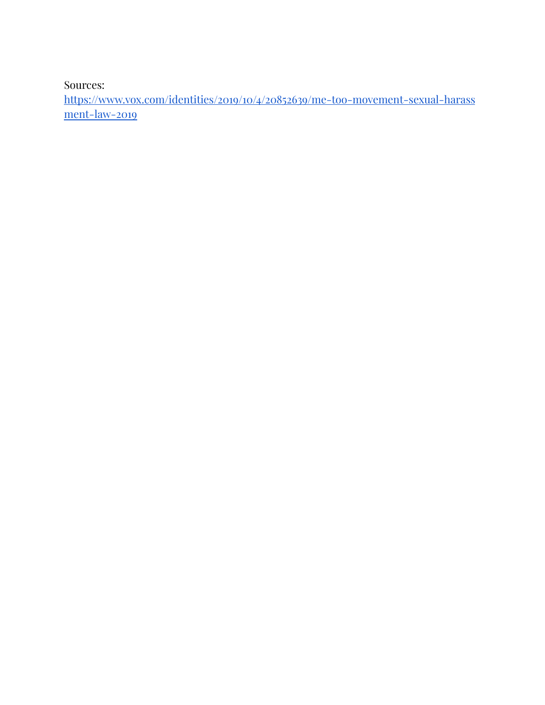Sources:

[https://www.vox.com/identities/2019/10/4/20852639/me-too-movement-sexual-harass](https://www.vox.com/identities/2019/10/4/20852639/me-too-movement-sexual-harassment-law-2019) [ment-law-2019](https://www.vox.com/identities/2019/10/4/20852639/me-too-movement-sexual-harassment-law-2019)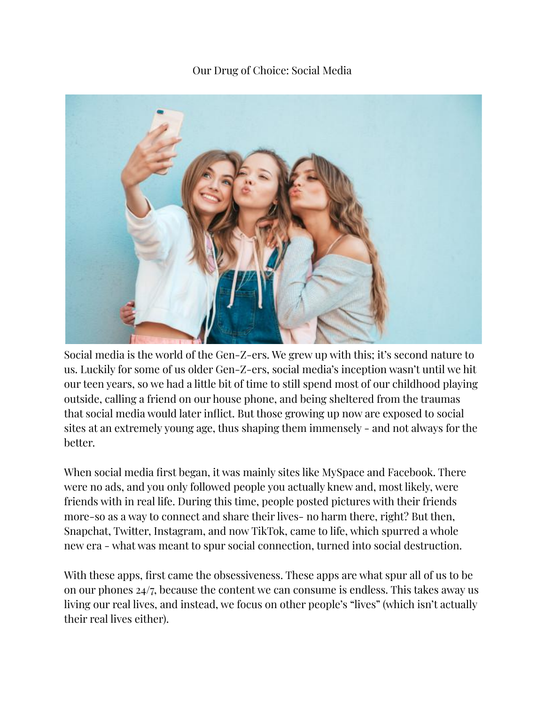Our Drug of Choice: Social Media



Social media is the world of the Gen-Z-ers. We grew up with this; it's second nature to us. Luckily for some of us older Gen-Z-ers, social media's inception wasn't until we hit our teen years, so we had a little bit of time to still spend most of our childhood playing outside, calling a friend on our house phone, and being sheltered from the traumas that social media would later inflict. But those growing up now are exposed to social sites at an extremely young age, thus shaping them immensely - and not always for the better.

When social media first began, it was mainly sites like MySpace and Facebook. There were no ads, and you only followed people you actually knew and, most likely, were friends with in real life. During this time, people posted pictures with their friends more-so as a way to connect and share their lives- no harm there, right? But then, Snapchat, Twitter, Instagram, and now TikTok, came to life, which spurred a whole new era - what was meant to spur social connection, turned into social destruction.

With these apps, first came the obsessiveness. These apps are what spur all of us to be on our phones 24/7, because the content we can consume is endless. This takes away us living our real lives, and instead, we focus on other people's "lives" (which isn't actually their real lives either).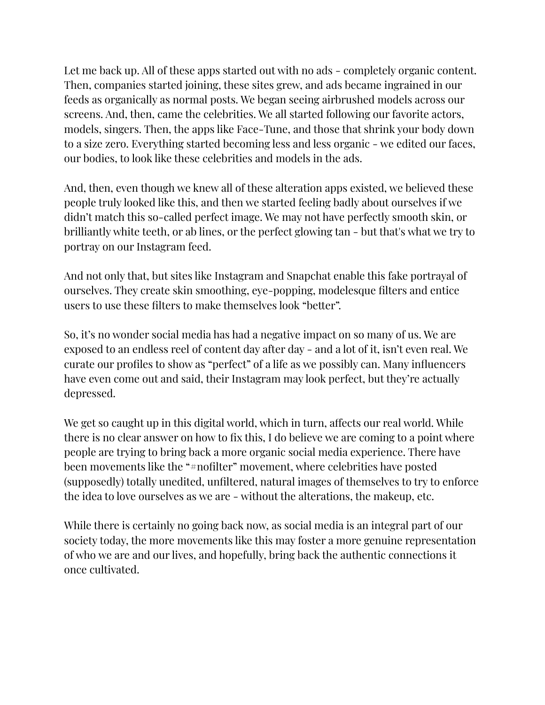Let me back up. All of these apps started out with no ads - completely organic content. Then, companies started joining, these sites grew, and ads became ingrained in our feeds as organically as normal posts. We began seeing airbrushed models across our screens. And, then, came the celebrities. We all started following our favorite actors, models, singers. Then, the apps like Face-Tune, and those that shrink your body down to a size zero. Everything started becoming less and less organic - we edited our faces, our bodies, to look like these celebrities and models in the ads.

And, then, even though we knew all of these alteration apps existed, we believed these people truly looked like this, and then we started feeling badly about ourselves if we didn't match this so-called perfect image. We may not have perfectly smooth skin, or brilliantly white teeth, or ab lines, or the perfect glowing tan - but that's what we try to portray on our Instagram feed.

And not only that, but sites like Instagram and Snapchat enable this fake portrayal of ourselves. They create skin smoothing, eye-popping, modelesque filters and entice users to use these filters to make themselves look "better".

So, it's no wonder social media has had a negative impact on so many of us. We are exposed to an endless reel of content day after day - and a lot of it, isn't even real. We curate our profiles to show as "perfect" of a life as we possibly can. Many influencers have even come out and said, their Instagram may look perfect, but they're actually depressed.

We get so caught up in this digital world, which in turn, affects our real world. While there is no clear answer on how to fix this, I do believe we are coming to a point where people are trying to bring back a more organic social media experience. There have been movements like the "#nofilter" movement, where celebrities have posted (supposedly) totally unedited, unfiltered, natural images of themselves to try to enforce the idea to love ourselves as we are - without the alterations, the makeup, etc.

While there is certainly no going back now, as social media is an integral part of our society today, the more movements like this may foster a more genuine representation of who we are and our lives, and hopefully, bring back the authentic connections it once cultivated.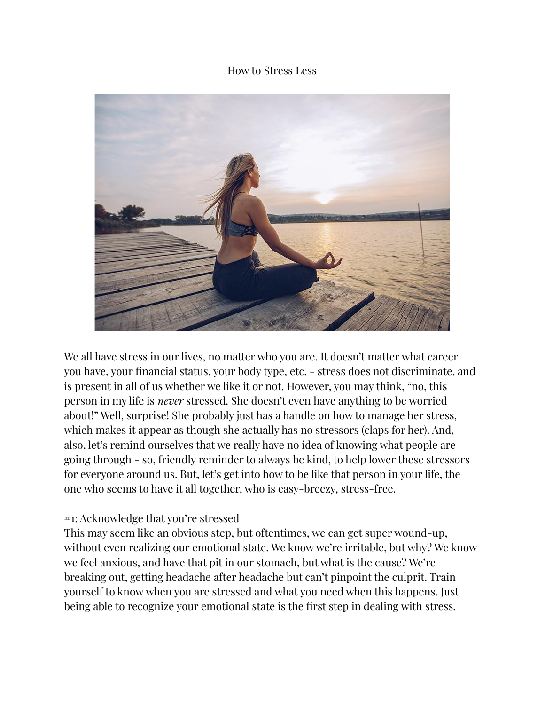#### How to Stress Less



We all have stress in our lives, no matter who you are. It doesn't matter what career you have, your financial status, your body type, etc. - stress does not discriminate, and is present in all of us whether we like it or not. However, you may think, "no, this person in my life is *never* stressed. She doesn't even have anything to be worried about!" Well, surprise! She probably just has a handle on how to manage her stress, which makes it appear as though she actually has no stressors (claps for her). And, also, let's remind ourselves that we really have no idea of knowing what people are going through - so, friendly reminder to always be kind, to help lower these stressors for everyone around us. But, let's get into how to be like that person in your life, the one who seems to have it all together, who is easy-breezy, stress-free.

#### #1: Acknowledge that you're stressed

This may seem like an obvious step, but oftentimes, we can get super wound-up, without even realizing our emotional state. We know we're irritable, but why? We know we feel anxious, and have that pit in our stomach, but what is the cause? We're breaking out, getting headache after headache but can't pinpoint the culprit. Train yourself to know when you are stressed and what you need when this happens. Just being able to recognize your emotional state is the first step in dealing with stress.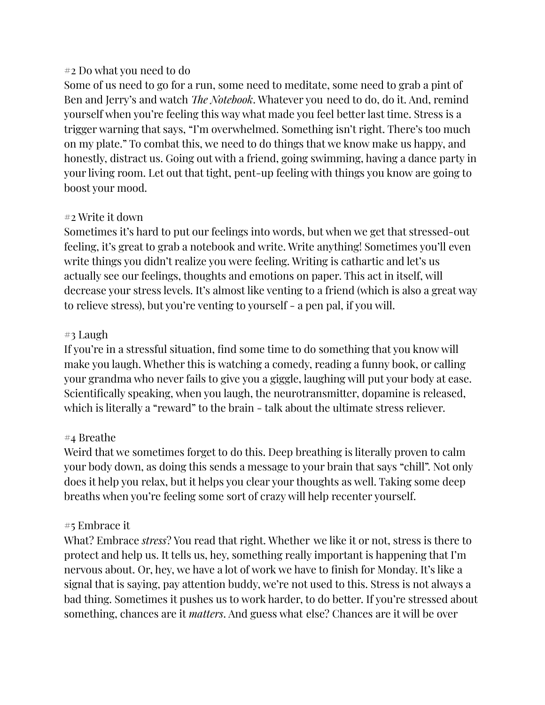#### #2 Do what you need to do

Some of us need to go for a run, some need to meditate, some need to grab a pint of Ben and Jerry's and watch *The Notebook*. Whatever you need to do, do it. And, remind yourself when you're feeling this way what made you feel better last time. Stress is a trigger warning that says, "I'm overwhelmed. Something isn't right. There's too much on my plate." To combat this, we need to do things that we know make us happy, and honestly, distract us. Going out with a friend, going swimming, having a dance party in your living room. Let out that tight, pent-up feeling with things you know are going to boost your mood.

# #2 Write it down

Sometimes it's hard to put our feelings into words, but when we get that stressed-out feeling, it's great to grab a notebook and write. Write anything! Sometimes you'll even write things you didn't realize you were feeling. Writing is cathartic and let's us actually see our feelings, thoughts and emotions on paper. This act in itself, will decrease your stress levels. It's almost like venting to a friend (which is also a great way to relieve stress), but you're venting to yourself - a pen pal, if you will.

## #3 Laugh

If you're in a stressful situation, find some time to do something that you know will make you laugh. Whether this is watching a comedy, reading a funny book, or calling your grandma who never fails to give you a giggle, laughing will put your body at ease. Scientifically speaking, when you laugh, the neurotransmitter, dopamine is released, which is literally a "reward" to the brain - talk about the ultimate stress reliever.

# #4 Breathe

Weird that we sometimes forget to do this. Deep breathing is literally proven to calm your body down, as doing this sends a message to your brain that says "chill". Not only does it help you relax, but it helps you clear your thoughts as well. Taking some deep breaths when you're feeling some sort of crazy will help recenter yourself.

# #5 Embrace it

What? Embrace *stress*? You read that right. Whether we like it or not, stress is there to protect and help us. It tells us, hey, something really important is happening that I'm nervous about. Or, hey, we have a lot of work we have to finish for Monday. It's like a signal that is saying, pay attention buddy, we're not used to this. Stress is not always a bad thing. Sometimes it pushes us to work harder, to do better. If you're stressed about something, chances are it *matters*. And guess what else? Chances are it will be over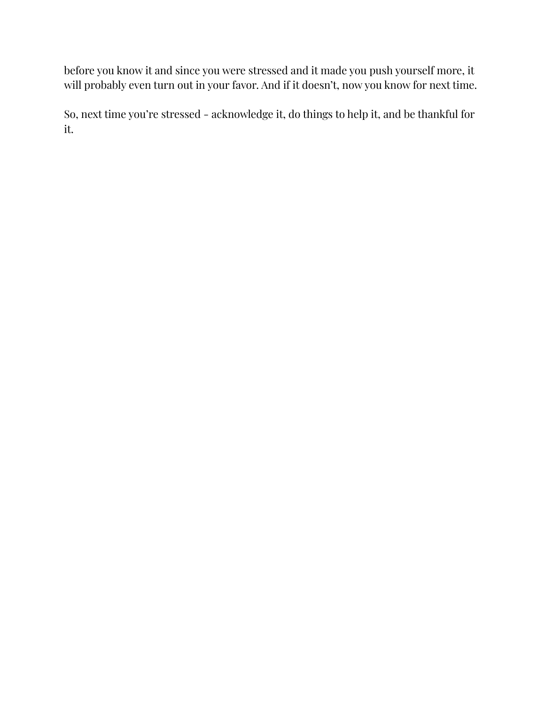before you know it and since you were stressed and it made you push yourself more, it will probably even turn out in your favor. And if it doesn't, now you know for next time.

So, next time you're stressed - acknowledge it, do things to help it, and be thankful for it.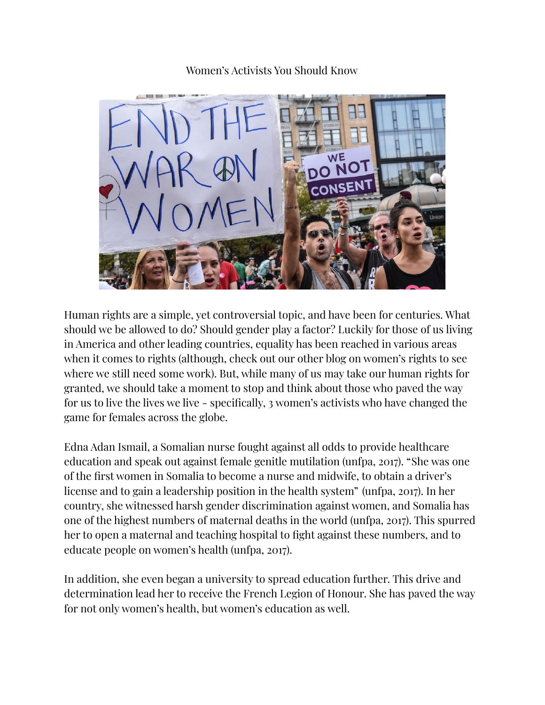Women's Activists You Should Know



Human rights are a simple, yet controversial topic, and have been for centuries. What should we be allowed to do? Should gender play a factor? Luckily for those of us living in America and other leading countries, equality has been reached in various areas when it comes to rights (although, check out our other blog on women's rights to see where we still need some work). But, while many of us may take our human rights for granted, we should take a moment to stop and think about those who paved the way for us to live the lives we live - specifically, 3 women's activists who have changed the game for females across the globe.

Edna Adan Ismail, a Somalian nurse fought against all odds to provide healthcare education and speak out against female genitle mutilation (unfpa, 2017). "She was one of the first women in Somalia to become a nurse and midwife, to obtain a driver's license and to gain a leadership position in the health system" (unfpa, 2017). In her country, she witnessed harsh gender discrimination against women, and Somalia has one of the highest numbers of maternal deaths in the world (unfpa, 2017). This spurred her to open a maternal and teaching hospital to fight against these numbers, and to educate people on women's health (unfpa, 2017).

In addition, she even began a university to spread education further. This drive and determination lead her to receive the French Legion of Honour. She has paved the way for not only women's health, but women's education as well.